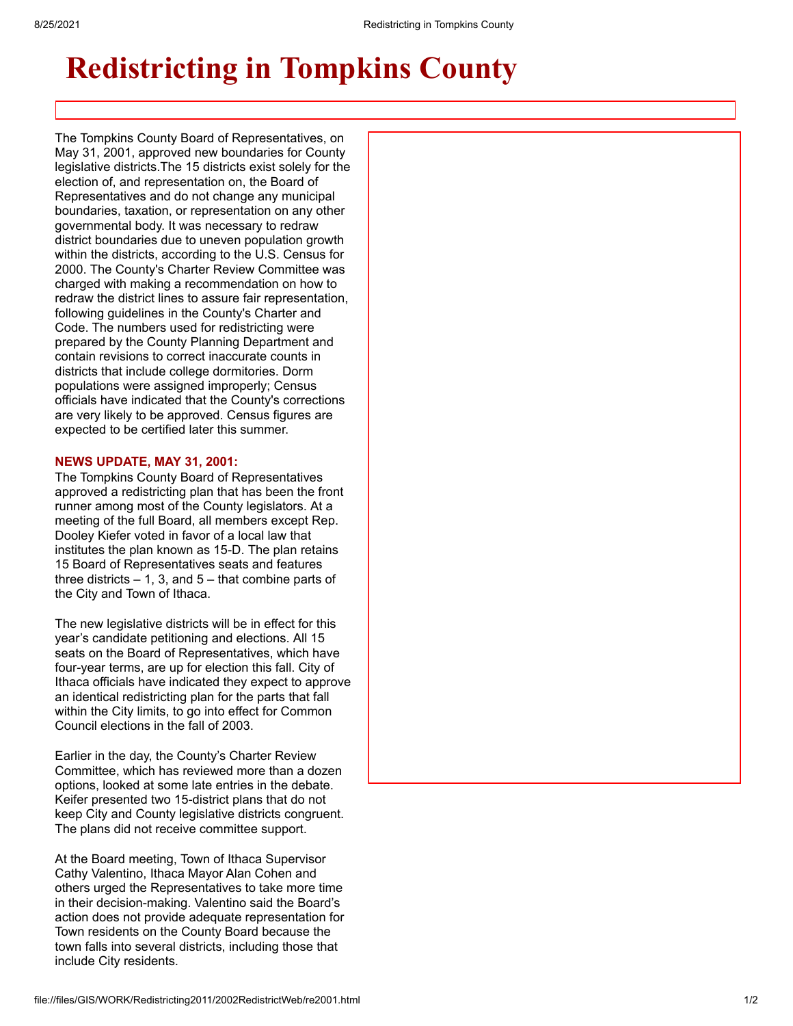**2001 Redistricting Options**

**Charter [Review Committee](http://www.tompkins-co.org/bor/committee/charterreview/) For [More Information](file://files/GIS/WORK/Redistricting2011/2002RedistrictWeb/info.html) Send [Public Comment](file://files/GIS/WORK/Redistricting2011/2002RedistrictWeb/comment.html) Tompkins [County homepage](http://www.tompkins-co.org/)**

## **Redistricting in Tompkins County**

The Tompkins County Board of Representatives, on May 31, 2001, approved new boundaries for County legislative districts.The 15 districts exist solely for the election of, and representation on, the Board of Representatives and do not change any municipal boundaries, taxation, or representation on any other governmental body. It was necessary to redraw district boundaries due to uneven population growth within the districts, according to the U.S. Census for 2000. The County's Charter Review Committee was charged with making a recommendation on how to redraw the district lines to assure fair representation, following guidelines in the County's Charter and Code. The numbers used for redistricting were prepared by the County Planning Department and contain revisions to correct inaccurate counts in districts that include college dormitories. Dorm populations were assigned improperly; Census officials have indicated that the County's corrections are very likely to be approved. Census figures are expected to be certified later this summer.

## **NEWS UPDATE, MAY 31, 2001:**

The Tompkins County Board of Representatives approved a redistricting plan that has been the front runner among most of the County legislators. At a meeting of the full Board, all members except Rep. Dooley Kiefer voted in favor of a local law that institutes the plan known as 15-D. The plan retains 15 Board of Representatives seats and features three districts  $-1$ , 3, and  $5 -$  that combine parts of the City and Town of Ithaca.

The new legislative districts will be in effect for this year's candidate petitioning and elections. All 15 seats on the Board of Representatives, which have four-year terms, are up for election this fall. City of Ithaca officials have indicated they expect to approve an identical redistricting plan for the parts that fall within the City limits, to go into effect for Common Council elections in the fall of 2003.

Earlier in the day, the County's Charter Review Committee, which has reviewed more than a dozen options, looked at some late entries in the debate. Keifer presented two 15-district plans that do not keep City and County legislative districts congruent. The plans did not receive committee support.

At the Board meeting, Town of Ithaca Supervisor Cathy Valentino, Ithaca Mayor Alan Cohen and others urged the Representatives to take more time in their decision-making. Valentino said the Board's action does not provide adequate representation for Town residents on the County Board because the town falls into several districts, including those that include City residents.